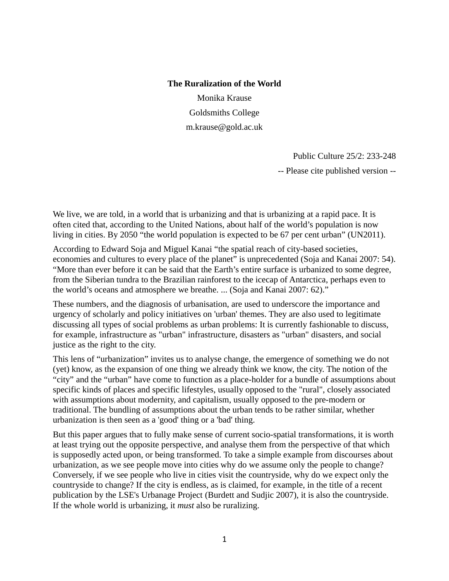#### **The Ruralization of the World**

Monika Krause Goldsmiths College m.krause@gold.ac.uk

> Public Culture 25/2: 233-248 -- Please cite published version --

We live, we are told, in a world that is urbanizing and that is urbanizing at a rapid pace. It is often cited that, according to the United Nations, about half of the world's population is now living in cities. By 2050 "the world population is expected to be 67 per cent urban" (UN2011).

According to Edward Soja and Miguel Kanai "the spatial reach of city-based societies, economies and cultures to every place of the planet" is unprecedented (Soja and Kanai 2007: 54). "More than ever before it can be said that the Earth's entire surface is urbanized to some degree, from the Siberian tundra to the Brazilian rainforest to the icecap of Antarctica, perhaps even to the world's oceans and atmosphere we breathe. ... (Soja and Kanai 2007: 62)."

These numbers, and the diagnosis of urbanisation, are used to underscore the importance and urgency of scholarly and policy initiatives on 'urban' themes. They are also used to legitimate discussing all types of social problems as urban problems: It is currently fashionable to discuss, for example, infrastructure as "urban" infrastructure, disasters as "urban" disasters, and social justice as the right to the city.

This lens of "urbanization" invites us to analyse change, the emergence of something we do not (yet) know, as the expansion of one thing we already think we know, the city. The notion of the "city" and the "urban" have come to function as a place-holder for a bundle of assumptions about specific kinds of places and specific lifestyles, usually opposed to the "rural", closely associated with assumptions about modernity, and capitalism, usually opposed to the pre-modern or traditional. The bundling of assumptions about the urban tends to be rather similar, whether urbanization is then seen as a 'good' thing or a 'bad' thing.

But this paper argues that to fully make sense of current socio-spatial transformations, it is worth at least trying out the opposite perspective, and analyse them from the perspective of that which is supposedly acted upon, or being transformed. To take a simple example from discourses about urbanization, as we see people move into cities why do we assume only the people to change? Conversely, if we see people who live in cities visit the countryside, why do we expect only the countryside to change? If the city is endless, as is claimed, for example, in the title of a recent publication by the LSE's Urbanage Project (Burdett and Sudjic 2007), it is also the countryside. If the whole world is urbanizing, it *must* also be ruralizing.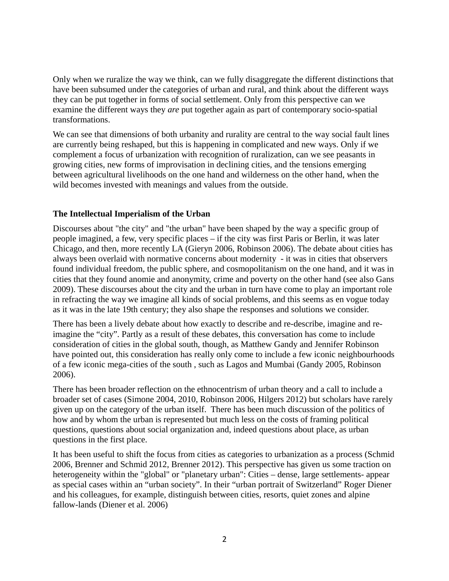Only when we ruralize the way we think, can we fully disaggregate the different distinctions that have been subsumed under the categories of urban and rural, and think about the different ways they can be put together in forms of social settlement. Only from this perspective can we examine the different ways they *are* put together again as part of contemporary socio-spatial transformations.

We can see that dimensions of both urbanity and rurality are central to the way social fault lines are currently being reshaped, but this is happening in complicated and new ways. Only if we complement a focus of urbanization with recognition of ruralization, can we see peasants in growing cities, new forms of improvisation in declining cities, and the tensions emerging between agricultural livelihoods on the one hand and wilderness on the other hand, when the wild becomes invested with meanings and values from the outside.

### **The Intellectual Imperialism of the Urban**

Discourses about "the city" and "the urban" have been shaped by the way a specific group of people imagined, a few, very specific places – if the city was first Paris or Berlin, it was later Chicago, and then, more recently LA (Gieryn 2006, Robinson 2006). The debate about cities has always been overlaid with normative concerns about modernity - it was in cities that observers found individual freedom, the public sphere, and cosmopolitanism on the one hand, and it was in cities that they found anomie and anonymity, crime and poverty on the other hand (see also Gans 2009). These discourses about the city and the urban in turn have come to play an important role in refracting the way we imagine all kinds of social problems, and this seems as en vogue today as it was in the late 19th century; they also shape the responses and solutions we consider.

There has been a lively debate about how exactly to describe and re-describe, imagine and reimagine the "city". Partly as a result of these debates, this conversation has come to include consideration of cities in the global south, though, as Matthew Gandy and Jennifer Robinson have pointed out, this consideration has really only come to include a few iconic neighbourhoods of a few iconic mega-cities of the south , such as Lagos and Mumbai (Gandy 2005, Robinson 2006).

There has been broader reflection on the ethnocentrism of urban theory and a call to include a broader set of cases (Simone 2004, 2010, Robinson 2006, Hilgers 2012) but scholars have rarely given up on the category of the urban itself. There has been much discussion of the politics of how and by whom the urban is represented but much less on the costs of framing political questions, questions about social organization and, indeed questions about place, as urban questions in the first place.

It has been useful to shift the focus from cities as categories to urbanization as a process (Schmid 2006, Brenner and Schmid 2012, Brenner 2012). This perspective has given us some traction on heterogeneity within the "global" or "planetary urban": Cities – dense, large settlements- appear as special cases within an "urban society". In their "urban portrait of Switzerland" Roger Diener and his colleagues, for example, distinguish between cities, resorts, quiet zones and alpine fallow-lands (Diener et al. 2006)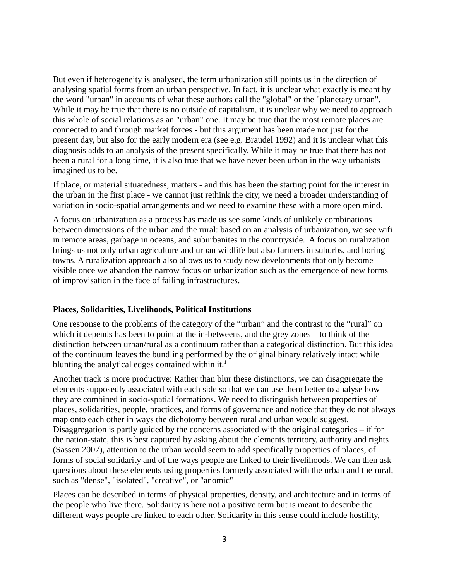But even if heterogeneity is analysed, the term urbanization still points us in the direction of analysing spatial forms from an urban perspective. In fact, it is unclear what exactly is meant by the word "urban" in accounts of what these authors call the "global" or the "planetary urban". While it may be true that there is no outside of capitalism, it is unclear why we need to approach this whole of social relations as an "urban" one. It may be true that the most remote places are connected to and through market forces - but this argument has been made not just for the present day, but also for the early modern era (see e.g. Braudel 1992) and it is unclear what this diagnosis adds to an analysis of the present specifically. While it may be true that there has not been a rural for a long time, it is also true that we have never been urban in the way urbanists imagined us to be.

If place, or material situatedness, matters - and this has been the starting point for the interest in the urban in the first place - we cannot just rethink the city, we need a broader understanding of variation in socio-spatial arrangements and we need to examine these with a more open mind.

A focus on urbanization as a process has made us see some kinds of unlikely combinations between dimensions of the urban and the rural: based on an analysis of urbanization, we see wifi in remote areas, garbage in oceans, and suburbanites in the countryside. A focus on ruralization brings us not only urban agriculture and urban wildlife but also farmers in suburbs, and boring towns. A ruralization approach also allows us to study new developments that only become visible once we abandon the narrow focus on urbanization such as the emergence of new forms of improvisation in the face of failing infrastructures.

### **Places, Solidarities, Livelihoods, Political Institutions**

One response to the problems of the category of the "urban" and the contrast to the "rural" on which it depends has been to point at the in-betweens, and the grey zones – to think of the distinction between urban/rural as a continuum rather than a categorical distinction. But this idea of the continuum leaves the bundling performed by the original binary relatively intact while blunting the analytical edges contained within it. $<sup>1</sup>$ </sup>

Another track is more productive: Rather than blur these distinctions, we can disaggregate the elements supposedly associated with each side so that we can use them better to analyse how they are combined in socio-spatial formations. We need to distinguish between properties of places, solidarities, people, practices, and forms of governance and notice that they do not always map onto each other in ways the dichotomy between rural and urban would suggest. Disaggregation is partly guided by the concerns associated with the original categories – if for the nation-state, this is best captured by asking about the elements territory, authority and rights (Sassen 2007), attention to the urban would seem to add specifically properties of places, of forms of social solidarity and of the ways people are linked to their livelihoods. We can then ask questions about these elements using properties formerly associated with the urban and the rural, such as "dense", "isolated", "creative", or "anomic"

Places can be described in terms of physical properties, density, and architecture and in terms of the people who live there. Solidarity is here not a positive term but is meant to describe the different ways people are linked to each other. Solidarity in this sense could include hostility,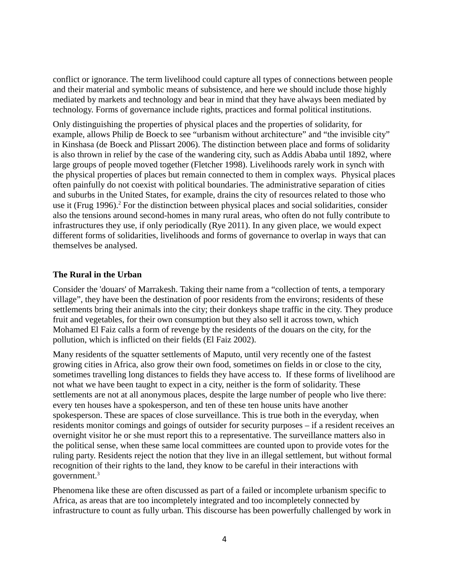conflict or ignorance. The term livelihood could capture all types of connections between people and their material and symbolic means of subsistence, and here we should include those highly mediated by markets and technology and bear in mind that they have always been mediated by technology. Forms of governance include rights, practices and formal political institutions.

Only distinguishing the properties of physical places and the properties of solidarity, for example, allows Philip de Boeck to see "urbanism without architecture" and "the invisible city" in Kinshasa (de Boeck and Plissart 2006). The distinction between place and forms of solidarity is also thrown in relief by the case of the wandering city, such as Addis Ababa until 1892, where large groups of people moved together (Fletcher 1998). Livelihoods rarely work in synch with the physical properties of places but remain connected to them in complex ways. Physical places often painfully do not coexist with political boundaries. The administrative separation of cities and suburbs in the United States, for example, drains the city of resources related to those who use it (Frug 1996).<sup>2</sup> For the distinction between physical places and social solidarities, consider also the tensions around second-homes in many rural areas, who often do not fully contribute to infrastructures they use, if only periodically (Rye 2011). In any given place, we would expect different forms of solidarities, livelihoods and forms of governance to overlap in ways that can themselves be analysed.

### **The Rural in the Urban**

Consider the 'douars' of Marrakesh. Taking their name from a "collection of tents, a temporary village", they have been the destination of poor residents from the environs; residents of these settlements bring their animals into the city; their donkeys shape traffic in the city. They produce fruit and vegetables, for their own consumption but they also sell it across town, which Mohamed El Faiz calls a form of revenge by the residents of the douars on the city, for the pollution, which is inflicted on their fields (El Faiz 2002).

Many residents of the squatter settlements of Maputo, until very recently one of the fastest growing cities in Africa, also grow their own food, sometimes on fields in or close to the city, sometimes travelling long distances to fields they have access to. If these forms of livelihood are not what we have been taught to expect in a city, neither is the form of solidarity. These settlements are not at all anonymous places, despite the large number of people who live there: every ten houses have a spokesperson, and ten of these ten house units have another spokesperson. These are spaces of close surveillance. This is true both in the everyday, when residents monitor comings and goings of outsider for security purposes – if a resident receives an overnight visitor he or she must report this to a representative. The surveillance matters also in the political sense, when these same local committees are counted upon to provide votes for the ruling party. Residents reject the notion that they live in an illegal settlement, but without formal recognition of their rights to the land, they know to be careful in their interactions with government.<sup>3</sup>

Phenomena like these are often discussed as part of a failed or incomplete urbanism specific to Africa, as areas that are too incompletely integrated and too incompletely connected by infrastructure to count as fully urban. This discourse has been powerfully challenged by work in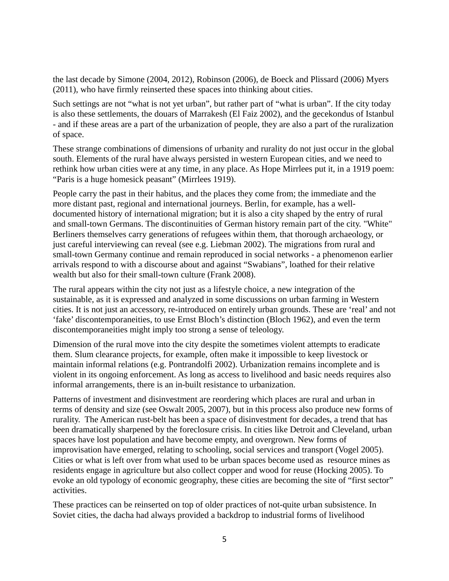the last decade by Simone (2004, 2012), Robinson (2006), de Boeck and Plissard (2006) Myers (2011), who have firmly reinserted these spaces into thinking about cities.

Such settings are not "what is not yet urban", but rather part of "what is urban". If the city today is also these settlements, the douars of Marrakesh (El Faiz 2002), and the gecekondus of Istanbul - and if these areas are a part of the urbanization of people, they are also a part of the ruralization of space.

These strange combinations of dimensions of urbanity and rurality do not just occur in the global south. Elements of the rural have always persisted in western European cities, and we need to rethink how urban cities were at any time, in any place. As Hope Mirrlees put it, in a 1919 poem: "Paris is a huge homesick peasant" (Mirrlees 1919).

People carry the past in their habitus, and the places they come from; the immediate and the more distant past, regional and international journeys. Berlin, for example, has a welldocumented history of international migration; but it is also a city shaped by the entry of rural and small-town Germans. The discontinuities of German history remain part of the city. "White" Berliners themselves carry generations of refugees within them, that thorough archaeology, or just careful interviewing can reveal (see e.g. Liebman 2002). The migrations from rural and small-town Germany continue and remain reproduced in social networks - a phenomenon earlier arrivals respond to with a discourse about and against "Swabians", loathed for their relative wealth but also for their small-town culture (Frank 2008).

The rural appears within the city not just as a lifestyle choice, a new integration of the sustainable, as it is expressed and analyzed in some discussions on urban farming in Western cities. It is not just an accessory, re-introduced on entirely urban grounds. These are 'real' and not 'fake' discontemporaneities, to use Ernst Bloch's distinction (Bloch 1962), and even the term discontemporaneities might imply too strong a sense of teleology.

Dimension of the rural move into the city despite the sometimes violent attempts to eradicate them. Slum clearance projects, for example, often make it impossible to keep livestock or maintain informal relations (e.g. Pontrandolfi 2002). Urbanization remains incomplete and is violent in its ongoing enforcement. As long as access to livelihood and basic needs requires also informal arrangements, there is an in-built resistance to urbanization.

Patterns of investment and disinvestment are reordering which places are rural and urban in terms of density and size (see Oswalt 2005, 2007), but in this process also produce new forms of rurality. The American rust-belt has been a space of disinvestment for decades, a trend that has been dramatically sharpened by the foreclosure crisis. In cities like Detroit and Cleveland, urban spaces have lost population and have become empty, and overgrown. New forms of improvisation have emerged, relating to schooling, social services and transport (Vogel 2005). Cities or what is left over from what used to be urban spaces become used as resource mines as residents engage in agriculture but also collect copper and wood for reuse (Hocking 2005). To evoke an old typology of economic geography, these cities are becoming the site of "first sector" activities.

These practices can be reinserted on top of older practices of not-quite urban subsistence. In Soviet cities, the dacha had always provided a backdrop to industrial forms of livelihood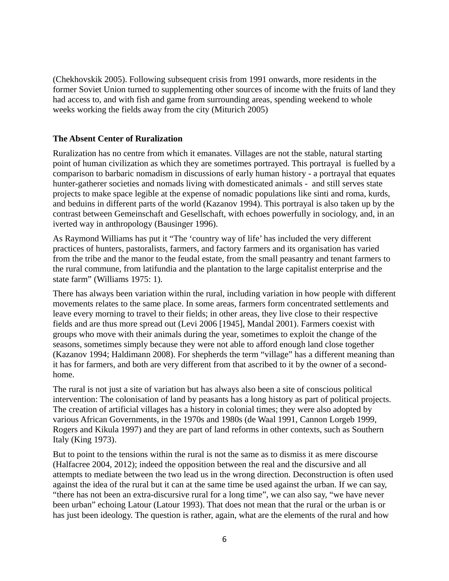(Chekhovskik 2005). Following subsequent crisis from 1991 onwards, more residents in the former Soviet Union turned to supplementing other sources of income with the fruits of land they had access to, and with fish and game from surrounding areas, spending weekend to whole weeks working the fields away from the city (Miturich 2005)

# **The Absent Center of Ruralization**

Ruralization has no centre from which it emanates. Villages are not the stable, natural starting point of human civilization as which they are sometimes portrayed. This portrayal is fuelled by a comparison to barbaric nomadism in discussions of early human history - a portrayal that equates hunter-gatherer societies and nomads living with domesticated animals - and still serves state projects to make space legible at the expense of nomadic populations like sinti and roma, kurds, and beduins in different parts of the world (Kazanov 1994). This portrayal is also taken up by the contrast between Gemeinschaft and Gesellschaft, with echoes powerfully in sociology, and, in an iverted way in anthropology (Bausinger 1996).

As Raymond Williams has put it "The 'country way of life' has included the very different practices of hunters, pastoralists, farmers, and factory farmers and its organisation has varied from the tribe and the manor to the feudal estate, from the small peasantry and tenant farmers to the rural commune, from latifundia and the plantation to the large capitalist enterprise and the state farm" (Williams 1975: 1).

There has always been variation within the rural, including variation in how people with different movements relates to the same place. In some areas, farmers form concentrated settlements and leave every morning to travel to their fields; in other areas, they live close to their respective fields and are thus more spread out (Levi 2006 [1945], Mandal 2001). Farmers coexist with groups who move with their animals during the year, sometimes to exploit the change of the seasons, sometimes simply because they were not able to afford enough land close together (Kazanov 1994; Haldimann 2008). For shepherds the term "village" has a different meaning than it has for farmers, and both are very different from that ascribed to it by the owner of a secondhome.

The rural is not just a site of variation but has always also been a site of conscious political intervention: The colonisation of land by peasants has a long history as part of political projects. The creation of artificial villages has a history in colonial times; they were also adopted by various African Governments, in the 1970s and 1980s (de Waal 1991, Cannon Lorgeb 1999, Rogers and Kikula 1997) and they are part of land reforms in other contexts, such as Southern Italy (King 1973).

But to point to the tensions within the rural is not the same as to dismiss it as mere discourse (Halfacree 2004, 2012); indeed the opposition between the real and the discursive and all attempts to mediate between the two lead us in the wrong direction. Deconstruction is often used against the idea of the rural but it can at the same time be used against the urban. If we can say, "there has not been an extra-discursive rural for a long time", we can also say, "we have never been urban" echoing Latour (Latour 1993). That does not mean that the rural or the urban is or has just been ideology. The question is rather, again, what are the elements of the rural and how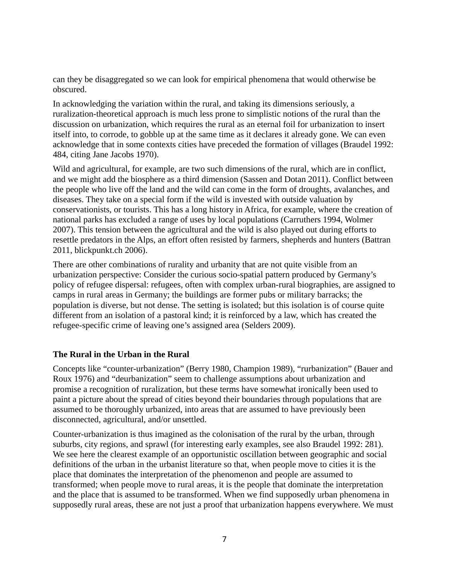can they be disaggregated so we can look for empirical phenomena that would otherwise be obscured.

In acknowledging the variation within the rural, and taking its dimensions seriously, a ruralization-theoretical approach is much less prone to simplistic notions of the rural than the discussion on urbanization, which requires the rural as an eternal foil for urbanization to insert itself into, to corrode, to gobble up at the same time as it declares it already gone. We can even acknowledge that in some contexts cities have preceded the formation of villages (Braudel 1992: 484, citing Jane Jacobs 1970).

Wild and agricultural, for example, are two such dimensions of the rural, which are in conflict, and we might add the biosphere as a third dimension (Sassen and Dotan 2011). Conflict between the people who live off the land and the wild can come in the form of droughts, avalanches, and diseases. They take on a special form if the wild is invested with outside valuation by conservationists, or tourists. This has a long history in Africa, for example, where the creation of national parks has excluded a range of uses by local populations (Carruthers 1994, Wolmer 2007). This tension between the agricultural and the wild is also played out during efforts to resettle predators in the Alps, an effort often resisted by farmers, shepherds and hunters (Battran 2011, blickpunkt.ch 2006).

There are other combinations of rurality and urbanity that are not quite visible from an urbanization perspective: Consider the curious socio-spatial pattern produced by Germany's policy of refugee dispersal: refugees, often with complex urban-rural biographies, are assigned to camps in rural areas in Germany; the buildings are former pubs or military barracks; the population is diverse, but not dense. The setting is isolated; but this isolation is of course quite different from an isolation of a pastoral kind; it is reinforced by a law, which has created the refugee-specific crime of leaving one's assigned area (Selders 2009).

### **The Rural in the Urban in the Rural**

Concepts like "counter-urbanization" (Berry 1980, Champion 1989), "rurbanization" (Bauer and Roux 1976) and "deurbanization" seem to challenge assumptions about urbanization and promise a recognition of ruralization, but these terms have somewhat ironically been used to paint a picture about the spread of cities beyond their boundaries through populations that are assumed to be thoroughly urbanized, into areas that are assumed to have previously been disconnected, agricultural, and/or unsettled.

Counter-urbanization is thus imagined as the colonisation of the rural by the urban, through suburbs, city regions, and sprawl (for interesting early examples, see also Braudel 1992: 281). We see here the clearest example of an opportunistic oscillation between geographic and social definitions of the urban in the urbanist literature so that, when people move to cities it is the place that dominates the interpretation of the phenomenon and people are assumed to transformed; when people move to rural areas, it is the people that dominate the interpretation and the place that is assumed to be transformed. When we find supposedly urban phenomena in supposedly rural areas, these are not just a proof that urbanization happens everywhere. We must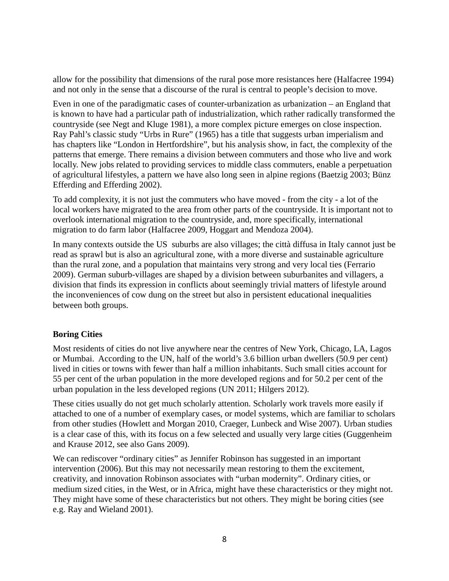allow for the possibility that dimensions of the rural pose more resistances here (Halfacree 1994) and not only in the sense that a discourse of the rural is central to people's decision to move.

Even in one of the paradigmatic cases of counter-urbanization as urbanization – an England that is known to have had a particular path of industrialization, which rather radically transformed the countryside (see Negt and Kluge 1981), a more complex picture emerges on close inspection. Ray Pahl's classic study "Urbs in Rure" (1965) has a title that suggests urban imperialism and has chapters like "London in Hertfordshire", but his analysis show, in fact, the complexity of the patterns that emerge. There remains a division between commuters and those who live and work locally. New jobs related to providing services to middle class commuters, enable a perpetuation of agricultural lifestyles, a pattern we have also long seen in alpine regions (Baetzig 2003; Bünz Efferding and Efferding 2002).

To add complexity, it is not just the commuters who have moved - from the city - a lot of the local workers have migrated to the area from other parts of the countryside. It is important not to overlook international migration to the countryside, and, more specifically, international migration to do farm labor (Halfacree 2009, Hoggart and Mendoza 2004).

In many contexts outside the US suburbs are also villages; the città diffusa in Italy cannot just be read as sprawl but is also an agricultural zone, with a more diverse and sustainable agriculture than the rural zone, and a population that maintains very strong and very local ties (Ferrario 2009). German suburb-villages are shaped by a division between suburbanites and villagers, a division that finds its expression in conflicts about seemingly trivial matters of lifestyle around the inconveniences of cow dung on the street but also in persistent educational inequalities between both groups.

### **Boring Cities**

Most residents of cities do not live anywhere near the centres of New York, Chicago, LA, Lagos or Mumbai. According to the UN, half of the world's 3.6 billion urban dwellers (50.9 per cent) lived in cities or towns with fewer than half a million inhabitants. Such small cities account for 55 per cent of the urban population in the more developed regions and for 50.2 per cent of the urban population in the less developed regions (UN 2011; Hilgers 2012).

These cities usually do not get much scholarly attention. Scholarly work travels more easily if attached to one of a number of exemplary cases, or model systems, which are familiar to scholars from other studies (Howlett and Morgan 2010, Craeger, Lunbeck and Wise 2007). Urban studies is a clear case of this, with its focus on a few selected and usually very large cities (Guggenheim and Krause 2012, see also Gans 2009).

We can rediscover "ordinary cities" as Jennifer Robinson has suggested in an important intervention (2006). But this may not necessarily mean restoring to them the excitement, creativity, and innovation Robinson associates with "urban modernity". Ordinary cities, or medium sized cities, in the West, or in Africa, might have these characteristics or they might not. They might have some of these characteristics but not others. They might be boring cities (see e.g. Ray and Wieland 2001).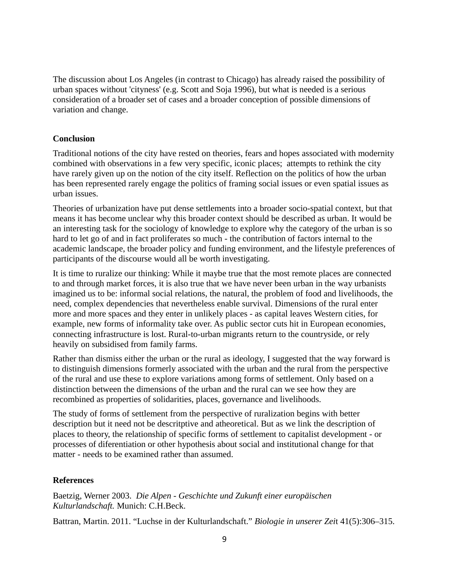The discussion about Los Angeles (in contrast to Chicago) has already raised the possibility of urban spaces without 'cityness' (e.g. Scott and Soja 1996), but what is needed is a serious consideration of a broader set of cases and a broader conception of possible dimensions of variation and change.

# **Conclusion**

Traditional notions of the city have rested on theories, fears and hopes associated with modernity combined with observations in a few very specific, iconic places; attempts to rethink the city have rarely given up on the notion of the city itself. Reflection on the politics of how the urban has been represented rarely engage the politics of framing social issues or even spatial issues as urban issues.

Theories of urbanization have put dense settlements into a broader socio-spatial context, but that means it has become unclear why this broader context should be described as urban. It would be an interesting task for the sociology of knowledge to explore why the category of the urban is so hard to let go of and in fact proliferates so much - the contribution of factors internal to the academic landscape, the broader policy and funding environment, and the lifestyle preferences of participants of the discourse would all be worth investigating.

It is time to ruralize our thinking: While it maybe true that the most remote places are connected to and through market forces, it is also true that we have never been urban in the way urbanists imagined us to be: informal social relations, the natural, the problem of food and livelihoods, the need, complex dependencies that nevertheless enable survival. Dimensions of the rural enter more and more spaces and they enter in unlikely places - as capital leaves Western cities, for example, new forms of informality take over. As public sector cuts hit in European economies, connecting infrastructure is lost. Rural-to-urban migrants return to the countryside, or rely heavily on subsidised from family farms.

Rather than dismiss either the urban or the rural as ideology, I suggested that the way forward is to distinguish dimensions formerly associated with the urban and the rural from the perspective of the rural and use these to explore variations among forms of settlement. Only based on a distinction between the dimensions of the urban and the rural can we see how they are recombined as properties of solidarities, places, governance and livelihoods.

The study of forms of settlement from the perspective of ruralization begins with better description but it need not be descritptive and atheoretical. But as we link the description of places to theory, the relationship of specific forms of settlement to capitalist development - or processes of diferentiation or other hypothesis about social and institutional change for that matter - needs to be examined rather than assumed.

### **References**

Baetzig, Werner 2003. *Die Alpen - Geschichte und Zukunft einer europäischen Kulturlandschaft.* Munich: C.H.Beck.

Battran, Martin. 2011. "Luchse in der Kulturlandschaft." *Biologie in unserer Zei*t 41(5):306–315.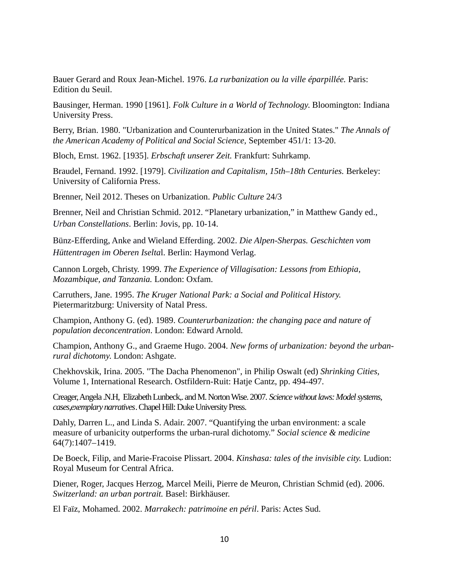Bauer Gerard and Roux Jean-Michel. 1976. *La rurbanization ou la ville éparpillée.* Paris: Edition du Seuil.

Bausinger, Herman. 1990 [1961]. *Folk Culture in a World of Technology*. Bloomington: Indiana University Press.

Berry, Brian. 1980. "Urbanization and Counterurbanization in the United States." *The Annals of the American Academy of Political and Social Science,* September 451/1: 13-20.

Bloch, Ernst. 1962. [1935]. *Erbschaft unserer Zeit.* Frankfurt: Suhrkamp.

Braudel, Fernand. 1992. [1979]. *Civilization and Capitalism, 15th–18th Centuries.* Berkeley: University of California Press.

Brenner, Neil 2012. Theses on Urbanization. *Public Culture* 24/3

Brenner, Neil and Christian Schmid. 2012. "Planetary urbanization," in Matthew Gandy ed., *Urban Constellations*. Berlin: Jovis, pp. 10-14.

Bünz-Efferding, Anke and Wieland Efferding. 2002. *Die Alpen-Sherpas. Geschichten vom Hüttentragen im Oberen Iselta*l. Berlin: Haymond Verlag.

Cannon Lorgeb, Christy. 1999. *The Experience of Villagisation: Lessons from Ethiopia, Mozambique, and Tanzania.* London: Oxfam.

Carruthers, Jane. 1995. *The Kruger National Park: a Social and Political History.* Pietermaritzburg: University of Natal Press.

Champion, Anthony G. (ed). 1989. *Counterurbanization: the changing pace and nature of population deconcentration*. London: Edward Arnold.

Champion, Anthony G., and Graeme Hugo. 2004. *New forms of urbanization: beyond the urbanrural dichotomy*. London: Ashgate.

Chekhovskik, Irina. 2005. "The Dacha Phenomenon", in Philip Oswalt (ed) *Shrinking Cities,* Volume 1, International Research. Ostfildern-Ruit: Hatje Cantz, pp. 494-497.

Creager, Angela .N.H, Elizabeth Lunbeck,. and M. Norton Wise. 2007. *Science without laws: Model systems, cases,exemplary narratives*. Chapel Hill: Duke University Press.

Dahly, Darren L., and Linda S. Adair. 2007. "Quantifying the urban environment: a scale measure of urbanicity outperforms the urban-rural dichotomy." *Social science & medicine* 64(7):1407–1419.

De Boeck, Filip, and Marie-Fracoise Plissart. 2004. *Kinshasa: tales of the invisible city.* Ludion: Royal Museum for Central Africa.

Diener, Roger, Jacques Herzog, Marcel Meili, Pierre de Meuron, Christian Schmid (ed). 2006. *Switzerland: an urban portrait.* Basel: Birkhäuser.

El Faïz, Mohamed. 2002. *Marrakech: patrimoine en péril*. Paris: Actes Sud.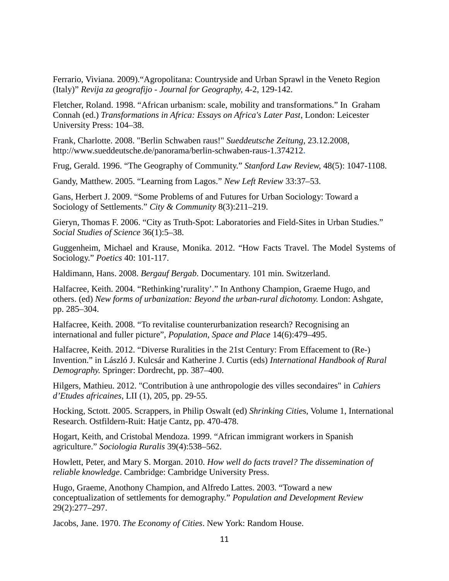Ferrario, Viviana. 2009)."Agropolitana: Countryside and Urban Sprawl in the Veneto Region (Italy)" *Revija za geografijo - Journal for Geography,* 4-2, 129-142.

Fletcher, Roland. 1998. "African urbanism: scale, mobility and transformations." In Graham Connah (ed.) *Transformations in Africa: Essays on Africa's Later Past*, London: Leicester University Press: 104–38.

Frank, Charlotte. 2008. "Berlin Schwaben raus!" *Sueddeutsche Zeitung*, 23.12.2008, <http://www.sueddeutsche.de/panorama/berlin-schwaben-raus-1.374212>**.**

Frug, Gerald. 1996. "The Geography of Community." *Stanford Law Review,* 48(5): 1047-1108.

Gandy, Matthew. 2005. "Learning from Lagos." *New Left Review* 33:37–53.

Gans, Herbert J. 2009. "Some Problems of and Futures for Urban Sociology: Toward a Sociology of Settlements." *City & Community* 8(3):211–219.

Gieryn, Thomas F. 2006. "City as Truth-Spot: Laboratories and Field-Sites in Urban Studies." *Social Studies of Science* 36(1):5–38.

Guggenheim, Michael and Krause, Monika. 2012. "How Facts Travel. The Model Systems of Sociology." *Poetics* 40: 101-117.

Haldimann, Hans. 2008. *Bergauf Bergab*. Documentary. 101 min. Switzerland.

Halfacree, Keith. 2004. "Rethinking'rurality'." In Anthony Champion, Graeme Hugo, and others. (ed) *New forms of urbanization: Beyond the urban-rural dichotomy.* London: Ashgate, pp. 285–304.

Halfacree, Keith. 2008. "To revitalise counterurbanization research? Recognising an international and fuller picture", *Population, Space and Place* 14(6):479–495.

Halfacree, Keith. 2012. "Diverse Ruralities in the 21st Century: From Effacement to (Re-) Invention." in László J. Kulcsár and Katherine J. Curtis (eds) *International Handbook of Rural Demography.* Springer: Dordrecht, pp. 387–400.

Hilgers, Mathieu. 2012. "Contribution à une anthropologie des villes secondaires" in *Cahiers d'Etudes africaines*, LII (1), 205, pp. 29-55.

Hocking, Sctott. 2005. Scrappers, in Philip Oswalt (ed) *Shrinking Citie*s, Volume 1, International Research. Ostfildern-Ruit: Hatje Cantz, pp. 470-478.

Hogart, Keith, and Cristobal Mendoza. 1999. "African immigrant workers in Spanish agriculture." *Sociologia Ruralis* 39(4):538–562.

Howlett, Peter, and Mary S. Morgan. 2010. *How well do facts travel? The dissemination of reliable knowledge*. Cambridge: Cambridge University Press.

Hugo, Graeme, Anothony Champion, and Alfredo Lattes. 2003. "Toward a new conceptualization of settlements for demography." *Population and Development Review*  29(2):277–297.

Jacobs, Jane. 1970. *The Economy of Cities*. New York: Random House.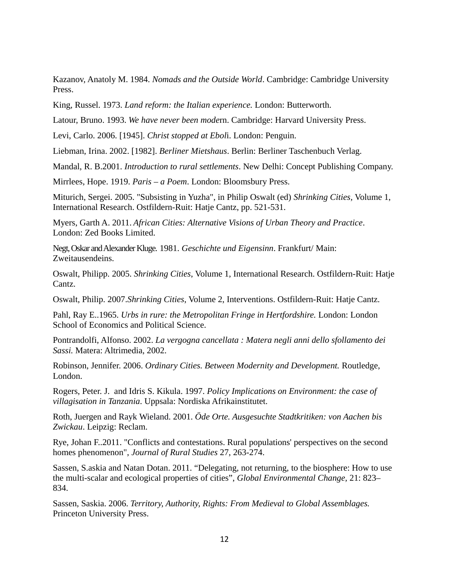Kazanov, Anatoly M. 1984. *Nomads and the Outside World*. Cambridge: Cambridge University Press.

King, Russel. 1973. *Land reform: the Italian experience.* London: Butterworth.

Latour, Bruno. 1993. *We have never been mode*rn. Cambridge: Harvard University Press.

Levi, Carlo. 2006. [1945]. *Christ stopped at Ebol*i. London: Penguin.

Liebman, Irina. 2002. [1982]. *Berliner Mietshaus*. Berlin: Berliner Taschenbuch Verlag.

Mandal, R. B.2001. *Introduction to rural settlements*. New Delhi: Concept Publishing Company.

Mirrlees, Hope. 1919. *Paris – a Poem*. London: Bloomsbury Press.

Miturich, Sergei. 2005. "Subsisting in Yuzha", in Philip Oswalt (ed) *Shrinking Cities,* Volume 1, International Research. Ostfildern-Ruit: Hatje Cantz, pp. 521-531.

Myers, Garth A. 2011. *African Cities: Alternative Visions of Urban Theory and Practice*. London: Zed Books Limited.

Negt, Oskar and Alexander Kluge. 1981. *Geschichte und Eigensinn*. Frankfurt/ Main: Zweitausendeins.

Oswalt, Philipp. 2005. *Shrinking Cities*, Volume 1, International Research. Ostfildern-Ruit: Hatje Cantz.

Oswalt, Philip. 2007.*Shrinking Cities*, Volume 2, Interventions. Ostfildern-Ruit: Hatje Cantz.

Pahl, Ray E..1965. *Urbs in rure: the Metropolitan Fringe in Hertfordshire.* London: London School of Economics and Political Science.

Pontrandolfi, Alfonso. 2002. *La vergogna cancellata : Matera negli anni dello sfollamento dei Sassi.* Matera: Altrimedia, 2002.

Robinson, Jennifer. 2006. *Ordinary Cities. Between Modernity and Development.* Routledge, London.

Rogers, Peter. J. and Idris S. Kikula. 1997. *Policy Implications on Environment: the case of villagisation in Tanzania*. Uppsala: Nordiska Afrikainstitutet.

Roth, Juergen and Rayk Wieland. 2001. *Öde Orte. Ausgesuchte Stadtkritiken: von Aachen bis Zwickau*. Leipzig: Reclam.

Rye, Johan F..2011. "Conflicts and contestations. Rural populations' perspectives on the second homes phenomenon", *Journal of Rural Studies* 27, 263-274.

Sassen, S.askia and Natan Dotan. 2011. "Delegating, not returning, to the biosphere: How to use the multi-scalar and ecological properties of cities", *Global Environmental Change,* 21: 823– 834.

Sassen, Saskia. 2006. *Territory, Authority, Rights: From Medieval to Global Assemblages.* Princeton University Press.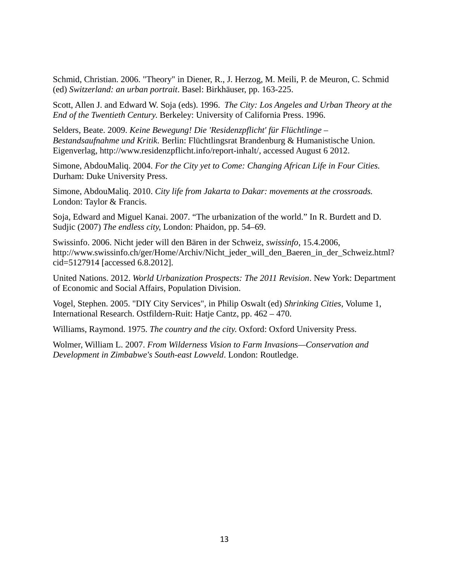Schmid, Christian. 2006. "Theory" in Diener, R., J. Herzog, M. Meili, P. de Meuron, C. Schmid (ed) *Switzerland: an urban portrait*. Basel: Birkhäuser, pp. 163-225.

Scott, Allen J. and Edward W. Soja (eds). 1996. *The City: Los Angeles and Urban Theory at the End of the Twentieth Century*. Berkeley: University of California Press. 1996.

[Selders, Beate. 2009.](file:///C:/Users/C:%5CUsers%5CMonika%5CDocuments%5CMy%20Dropbox%5CSelders,%20Beate.%202009:%20Keine%20Bewegung!%20Die%20) *[Keine Bewegung! Die 'Residenzpflicht' für Flüchtlinge –](file:///C:/Users/C:%5CUsers%5CMonika%5CDocuments%5CMy%20Dropbox%5CSelders,%20Beate.%202009:%20Keine%20Bewegung!%20Die%20)  [Bestandsaufnahme und Kritik.](file:///C:/Users/C:%5CUsers%5CMonika%5CDocuments%5CMy%20Dropbox%5CSelders,%20Beate.%202009:%20Keine%20Bewegung!%20Die%20)* Berlin: Flüchtlingsrat Brandenburg & Humanistische Union. Eigenverlag, [http://www.residenzpflicht.info/report-inhalt/,](http://www.residenzpflicht.info/report-inhalt/) accessed August 6 2012.

Simone, AbdouMaliq. 2004. *For the City yet to Come: Changing African Life in Four Cities.* Durham: Duke University Press.

Simone, AbdouMaliq. 2010. *City life from Jakarta to Dakar: movements at the crossroads.*  London: Taylor & Francis.

Soja, Edward and Miguel Kanai. 2007. "The urbanization of the world." In R. Burdett and D. Sudjic (2007) *The endless city*, London: Phaidon, pp. 54–69.

Swissinfo. 2006. Nicht jeder will den Bären in der Schweiz, *swissinfo*, 15.4.2006, http://www.swissinfo.ch/ger/Home/Archiv/Nicht\_jeder\_will\_den\_Baeren\_in\_der\_Schweiz.html? cid=5127914 [accessed 6.8.2012].

United Nations. 2012. *World Urbanization Prospects: The 2011 Revision*. New York: Department of Economic and Social Affairs, Population Division.

Vogel, Stephen. 2005. "DIY City Services", in Philip Oswalt (ed) *Shrinking Cities*, Volume 1, International Research. Ostfildern-Ruit: Hatje Cantz, pp. 462 – 470.

Williams, Raymond. 1975. *The country and the city*. Oxford: Oxford University Press.

Wolmer, William L. 2007. *From Wilderness Vision to Farm Invasions—Conservation and Development in Zimbabwe's South-east Lowveld*. London: Routledge.